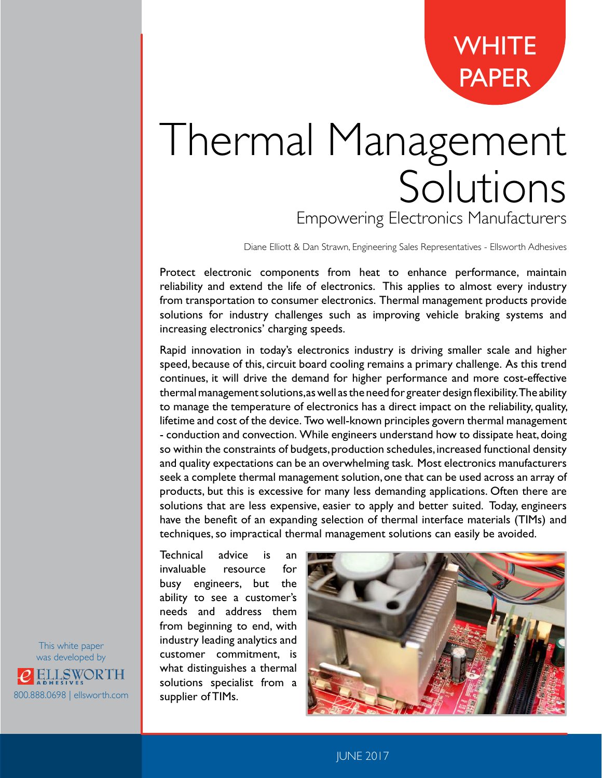**[WHITE](https://www.ellsworth.com/resources/white-papers/)** PAPER

# Thermal Management Solutions Empowering Electronics Manufacturers

Diane Elliott & Dan Strawn, Engineering Sales Representatives - Ellsworth Adhesives

Protect electronic components from heat to enhance performance, maintain reliability and extend the life of electronics. This applies to almost every industry from transportation to consumer electronics. Thermal management products provide solutions for industry challenges such as improving vehicle braking systems and increasing electronics' charging speeds.

Rapid innovation in today's electronics industry is driving smaller scale and higher speed, because of this, circuit board cooling remains a primary challenge. As this trend continues, it will drive the demand for higher performance and more cost-effective thermal management solutions, as well as the need for greater design flexibility. The ability to manage the temperature of electronics has a direct impact on the reliability, quality, lifetime and cost of the device. Two well-known principles govern thermal management - conduction and convection. While engineers understand how to dissipate heat, doing so within the constraints of budgets, production schedules, increased functional density and quality expectations can be an overwhelming task. Most electronics manufacturers seek a complete thermal management solution, one that can be used across an array of products, but this is excessive for many less demanding applications. Often there are solutions that are less expensive, easier to apply and better suited. Today, engineers have the benefit of an expanding selection of thermal interface materials (TIMs) and techniques, so impractical thermal management solutions can easily be avoided.

Technical advice is an invaluable resource for busy engineers, but the ability to see a customer's needs and address them from beginning to end, with industry leading analytics and customer commitment, is what distinguishes a thermal solutions specialist from a supplier of TIMs.



This white paper was developed by ELLSWORTH 800.888.0698 | [ellsworth.com](https://www.ellsworth.com/)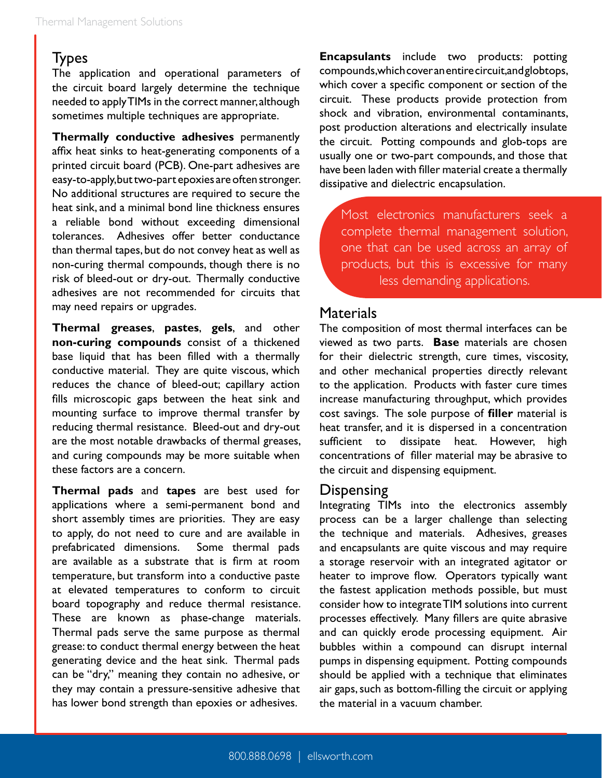### Types

The application and operational parameters of the circuit board largely determine the technique needed to apply TIMs in the correct manner, although sometimes multiple techniques are appropriate.

**Thermally conductive adhesives** permanently affix heat sinks to heat-generating components of a printed circuit board (PCB). One-part adhesives are easy-to-apply, but two-part epoxies are often stronger. No additional structures are required to secure the heat sink, and a minimal bond line thickness ensures a reliable bond without exceeding dimensional tolerances. Adhesives offer better conductance than thermal tapes, but do not convey heat as well as non-curing thermal compounds, though there is no risk of bleed-out or dry-out. Thermally conductive adhesives are not recommended for circuits that may need repairs or upgrades.

**Thermal greases**, **pastes**, **gels**, and other **non-curing compounds** consist of a thickened base liquid that has been filled with a thermally conductive material. They are quite viscous, which reduces the chance of bleed-out; capillary action fills microscopic gaps between the heat sink and mounting surface to improve thermal transfer by reducing thermal resistance. Bleed-out and dry-out are the most notable drawbacks of thermal greases, and curing compounds may be more suitable when these factors are a concern.

**Thermal pads** and **tapes** are best used for applications where a semi-permanent bond and short assembly times are priorities. They are easy to apply, do not need to cure and are available in prefabricated dimensions. Some thermal pads are available as a substrate that is firm at room temperature, but transform into a conductive paste at elevated temperatures to conform to circuit board topography and reduce thermal resistance. These are known as phase-change materials. Thermal pads serve the same purpose as thermal grease: to conduct thermal energy between the heat generating device and the heat sink. Thermal pads can be "dry," meaning they contain no adhesive, or they may contain a pressure-sensitive adhesive that has lower bond strength than epoxies or adhesives.

**Encapsulants** include two products: potting compounds, which cover an entire circuit, and globtops, which cover a specific component or section of the circuit. These products provide protection from shock and vibration, environmental contaminants, post production alterations and electrically insulate the circuit. Potting compounds and glob-tops are usually one or two-part compounds, and those that have been laden with filler material create a thermally dissipative and dielectric encapsulation.

Most electronics manufacturers seek a complete thermal management solution, one that can be used across an array of products, but this is excessive for many less demanding applications.

#### Materials

The composition of most thermal interfaces can be viewed as two parts. **Base** materials are chosen for their dielectric strength, cure times, viscosity, and other mechanical properties directly relevant to the application. Products with faster cure times increase manufacturing throughput, which provides cost savings. The sole purpose of **filler** material is heat transfer, and it is dispersed in a concentration sufficient to dissipate heat. However, high concentrations of filler material may be abrasive to the circuit and dispensing equipment.

#### Dispensing

Integrating TIMs into the electronics assembly process can be a larger challenge than selecting the technique and materials. Adhesives, greases and encapsulants are quite viscous and may require a storage reservoir with an integrated agitator or heater to improve flow. Operators typically want the fastest application methods possible, but must consider how to integrate TIM solutions into current processes effectively. Many fillers are quite abrasive and can quickly erode processing equipment. Air bubbles within a compound can disrupt internal pumps in dispensing equipment. Potting compounds should be applied with a technique that eliminates air gaps, such as bottom-filling the circuit or applying the material in a vacuum chamber.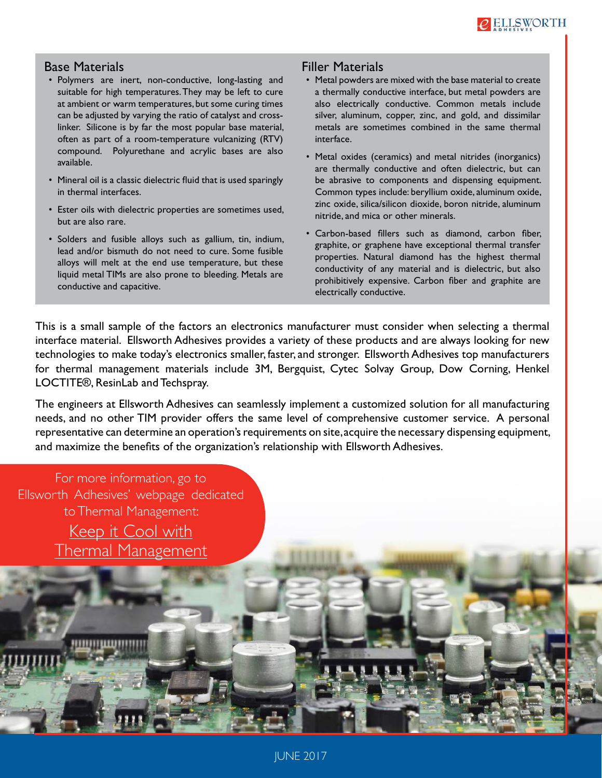

#### Base Materials

- Polymers are inert, non-conductive, long-lasting and suitable for high temperatures. They may be left to cure at ambient or warm temperatures, but some curing times can be adjusted by varying the ratio of catalyst and crosslinker. Silicone is by far the most popular base material, often as part of a room-temperature vulcanizing (RTV) compound. Polyurethane and acrylic bases are also available.
- Mineral oil is a classic dielectric fluid that is used sparingly in thermal interfaces.
- Ester oils with dielectric properties are sometimes used, but are also rare.
- Solders and fusible alloys such as gallium, tin, indium, lead and/or bismuth do not need to cure. Some fusible alloys will melt at the end use temperature, but these liquid metal TIMs are also prone to bleeding. Metals are conductive and capacitive.

#### Filler Materials

- Metal powders are mixed with the base material to create a thermally conductive interface, but metal powders are also electrically conductive. Common metals include silver, aluminum, copper, zinc, and gold, and dissimilar metals are sometimes combined in the same thermal interface.
- Metal oxides (ceramics) and metal nitrides (inorganics) are thermally conductive and often dielectric, but can be abrasive to components and dispensing equipment. Common types include: beryllium oxide, aluminum oxide, zinc oxide, silica/silicon dioxide, boron nitride, aluminum nitride, and mica or other minerals.
- Carbon-based fillers such as diamond, carbon fiber, graphite, or graphene have exceptional thermal transfer properties. Natural diamond has the highest thermal conductivity of any material and is dielectric, but also prohibitively expensive. Carbon fiber and graphite are electrically conductive.

This is a small sample of the factors an electronics manufacturer must consider when selecting a thermal interface material. Ellsworth Adhesives provides a variety of these products and are always looking for new technologies to make today's electronics smaller, faster, and stronger. Ellsworth Adhesives top manufacturers for thermal management materials include 3M, Bergquist, Cytec Solvay Group, Dow Corning, Henkel LOCTITE®, ResinLab and Techspray.

The engineers at Ellsworth Adhesives can seamlessly implement a customized solution for all manufacturing needs, and no other TIM provider offers the same level of comprehensive customer service. A personal representative can determine an operation's requirements on site, acquire the necessary dispensing equipment, and maximize the benefits of the organization's relationship with Ellsworth Adhesives.

For more information, go to Ellsworth Adhesives' webpage dedicated to Thermal Management: [Keep it Cool with](https://www.ellsworth.com/promotions/keep-it-cool-with-thermal-management/) [Thermal Management](https://www.ellsworth.com/promotions/keep-it-cool-with-thermal-management/)